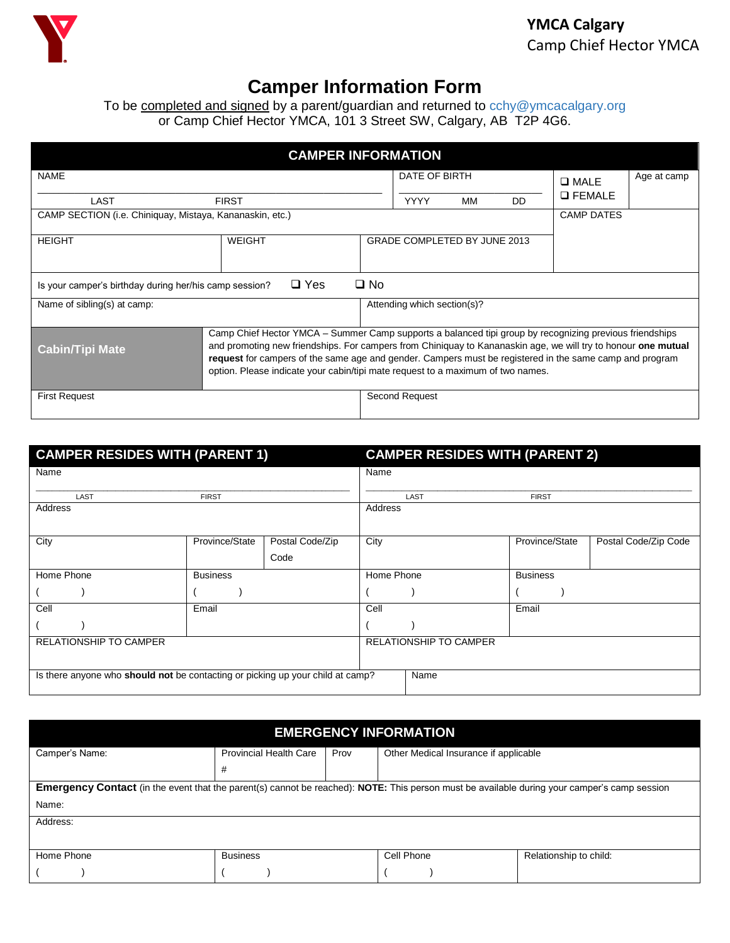

## **Camper Information Form**

To be completed and signed by a parent/guardian and returned to [cchy@ymcacalgary.org](mailto:cchy@ymcacalgary.org) or Camp Chief Hector YMCA, 101 3 Street SW, Calgary, AB T2P 4G6.

| <b>CAMPER INFORMATION</b>                                                            |                                                                                                                                                                                                                                                                                                                                                                                                                        |  |                              |               |     |                 |             |
|--------------------------------------------------------------------------------------|------------------------------------------------------------------------------------------------------------------------------------------------------------------------------------------------------------------------------------------------------------------------------------------------------------------------------------------------------------------------------------------------------------------------|--|------------------------------|---------------|-----|-----------------|-------------|
| <b>NAME</b>                                                                          |                                                                                                                                                                                                                                                                                                                                                                                                                        |  |                              | DATE OF BIRTH |     |                 | Age at camp |
| LAST                                                                                 | <b>FIRST</b>                                                                                                                                                                                                                                                                                                                                                                                                           |  | <b>YYYY</b>                  | МM            | DD. | <b>Q FEMALE</b> |             |
| CAMP SECTION (i.e. Chiniquay, Mistaya, Kananaskin, etc.)                             |                                                                                                                                                                                                                                                                                                                                                                                                                        |  |                              |               |     |                 |             |
| <b>HEIGHT</b>                                                                        | <b>WEIGHT</b>                                                                                                                                                                                                                                                                                                                                                                                                          |  | GRADE COMPLETED BY JUNE 2013 |               |     |                 |             |
| $\square$ No<br>$\Box$ Yes<br>Is your camper's birthday during her/his camp session? |                                                                                                                                                                                                                                                                                                                                                                                                                        |  |                              |               |     |                 |             |
| Name of sibling(s) at camp:                                                          |                                                                                                                                                                                                                                                                                                                                                                                                                        |  | Attending which section(s)?  |               |     |                 |             |
| <b>Cabin/Tipi Mate</b>                                                               | Camp Chief Hector YMCA - Summer Camp supports a balanced tipi group by recognizing previous friendships<br>and promoting new friendships. For campers from Chiniquay to Kananaskin age, we will try to honour one mutual<br>request for campers of the same age and gender. Campers must be registered in the same camp and program<br>option. Please indicate your cabin/tipi mate request to a maximum of two names. |  |                              |               |     |                 |             |
| <b>First Request</b>                                                                 |                                                                                                                                                                                                                                                                                                                                                                                                                        |  | Second Request               |               |     |                 |             |

| <b>CAMPER RESIDES WITH (PARENT 1)</b>                                          |                 |                 | <b>CAMPER RESIDES WITH (PARENT 2)</b> |                               |                 |                      |
|--------------------------------------------------------------------------------|-----------------|-----------------|---------------------------------------|-------------------------------|-----------------|----------------------|
| Name                                                                           |                 |                 | Name                                  |                               |                 |                      |
| LAST                                                                           | <b>FIRST</b>    |                 |                                       | LAST                          | <b>FIRST</b>    |                      |
| Address                                                                        |                 |                 | Address                               |                               |                 |                      |
| City                                                                           | Province/State  | Postal Code/Zip | City                                  |                               | Province/State  | Postal Code/Zip Code |
|                                                                                |                 | Code            |                                       |                               |                 |                      |
| Home Phone                                                                     | <b>Business</b> |                 | Home Phone                            |                               | <b>Business</b> |                      |
|                                                                                |                 |                 |                                       |                               |                 |                      |
| Cell                                                                           | Email           |                 | Cell                                  |                               | Email           |                      |
|                                                                                |                 |                 |                                       |                               |                 |                      |
| <b>RELATIONSHIP TO CAMPER</b>                                                  |                 |                 |                                       | <b>RELATIONSHIP TO CAMPER</b> |                 |                      |
|                                                                                |                 |                 |                                       |                               |                 |                      |
| Is there anyone who should not be contacting or picking up your child at camp? |                 |                 |                                       | Name                          |                 |                      |

| <b>EMERGENCY INFORMATION</b>                                                                                                                        |                               |      |                                       |                        |  |  |
|-----------------------------------------------------------------------------------------------------------------------------------------------------|-------------------------------|------|---------------------------------------|------------------------|--|--|
| Camper's Name:                                                                                                                                      | <b>Provincial Health Care</b> | Prov | Other Medical Insurance if applicable |                        |  |  |
|                                                                                                                                                     | #                             |      |                                       |                        |  |  |
| <b>Emergency Contact</b> (in the event that the parent(s) cannot be reached): NOTE: This person must be available during your camper's camp session |                               |      |                                       |                        |  |  |
| Name:                                                                                                                                               |                               |      |                                       |                        |  |  |
| Address:                                                                                                                                            |                               |      |                                       |                        |  |  |
|                                                                                                                                                     |                               |      |                                       |                        |  |  |
| Home Phone                                                                                                                                          | <b>Business</b>               |      | Cell Phone                            | Relationship to child: |  |  |
|                                                                                                                                                     |                               |      |                                       |                        |  |  |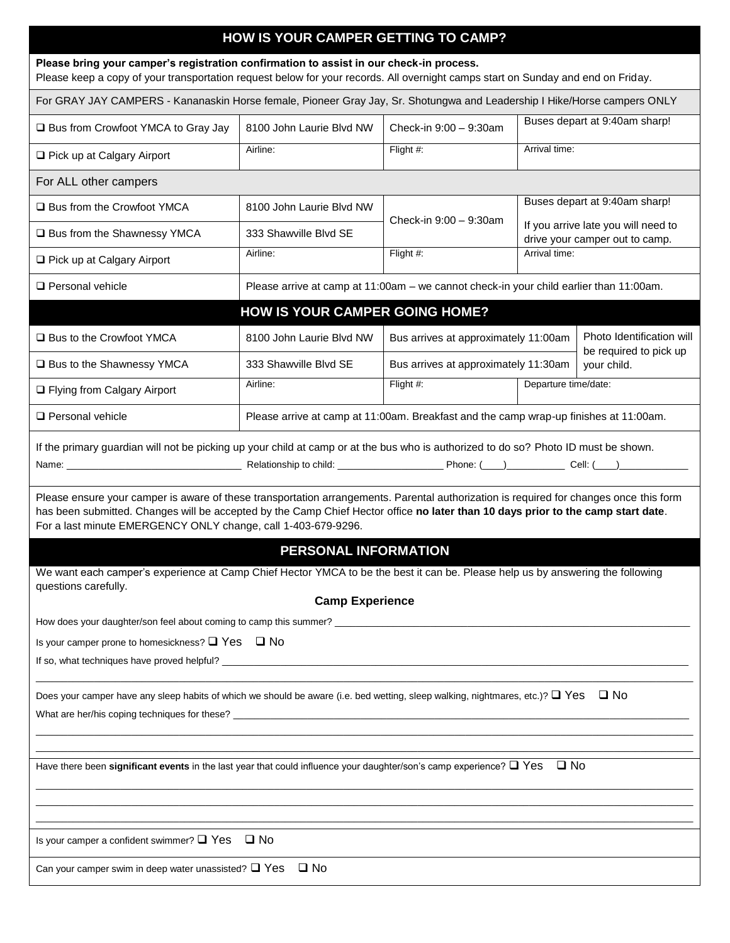| HOW IS YOUR CAMPER GETTING TO CAMP?                                                                                                                                                                                                                                                                                                                                                                                                                                                |                                                                                        |                                      |                               |                                                                       |  |
|------------------------------------------------------------------------------------------------------------------------------------------------------------------------------------------------------------------------------------------------------------------------------------------------------------------------------------------------------------------------------------------------------------------------------------------------------------------------------------|----------------------------------------------------------------------------------------|--------------------------------------|-------------------------------|-----------------------------------------------------------------------|--|
| Please bring your camper's registration confirmation to assist in our check-in process.<br>Please keep a copy of your transportation request below for your records. All overnight camps start on Sunday and end on Friday.                                                                                                                                                                                                                                                        |                                                                                        |                                      |                               |                                                                       |  |
| For GRAY JAY CAMPERS - Kananaskin Horse female, Pioneer Gray Jay, Sr. Shotungwa and Leadership I Hike/Horse campers ONLY                                                                                                                                                                                                                                                                                                                                                           |                                                                                        |                                      |                               |                                                                       |  |
| □ Bus from Crowfoot YMCA to Gray Jay                                                                                                                                                                                                                                                                                                                                                                                                                                               | 8100 John Laurie Blyd NW<br>Check-in 9:00 - 9:30am                                     |                                      | Buses depart at 9:40am sharp! |                                                                       |  |
| □ Pick up at Calgary Airport                                                                                                                                                                                                                                                                                                                                                                                                                                                       | Airline:                                                                               | Flight #:                            | Arrival time:                 |                                                                       |  |
| For ALL other campers                                                                                                                                                                                                                                                                                                                                                                                                                                                              |                                                                                        |                                      |                               |                                                                       |  |
| □ Bus from the Crowfoot YMCA                                                                                                                                                                                                                                                                                                                                                                                                                                                       | 8100 John Laurie Blvd NW                                                               |                                      |                               | Buses depart at 9:40am sharp!                                         |  |
| □ Bus from the Shawnessy YMCA                                                                                                                                                                                                                                                                                                                                                                                                                                                      | 333 Shawville Blvd SE                                                                  | Check-in 9:00 - 9:30am               |                               | If you arrive late you will need to<br>drive your camper out to camp. |  |
| □ Pick up at Calgary Airport                                                                                                                                                                                                                                                                                                                                                                                                                                                       | Airline:                                                                               | Flight #:                            | Arrival time:                 |                                                                       |  |
| $\Box$ Personal vehicle                                                                                                                                                                                                                                                                                                                                                                                                                                                            | Please arrive at camp at 11:00am - we cannot check-in your child earlier than 11:00am. |                                      |                               |                                                                       |  |
|                                                                                                                                                                                                                                                                                                                                                                                                                                                                                    | <b>HOW IS YOUR CAMPER GOING HOME?</b>                                                  |                                      |                               |                                                                       |  |
| □ Bus to the Crowfoot YMCA                                                                                                                                                                                                                                                                                                                                                                                                                                                         | 8100 John Laurie Blyd NW                                                               | Bus arrives at approximately 11:00am |                               | Photo Identification will                                             |  |
| □ Bus to the Shawnessy YMCA                                                                                                                                                                                                                                                                                                                                                                                                                                                        | 333 Shawville Blvd SE                                                                  | Bus arrives at approximately 11:30am |                               | be required to pick up<br>your child.                                 |  |
| □ Flying from Calgary Airport                                                                                                                                                                                                                                                                                                                                                                                                                                                      | Airline:                                                                               | Flight #:                            | Departure time/date:          |                                                                       |  |
| Personal vehicle                                                                                                                                                                                                                                                                                                                                                                                                                                                                   | Please arrive at camp at 11:00am. Breakfast and the camp wrap-up finishes at 11:00am.  |                                      |                               |                                                                       |  |
| If the primary guardian will not be picking up your child at camp or at the bus who is authorized to do so? Photo ID must be shown.<br>Please ensure your camper is aware of these transportation arrangements. Parental authorization is required for changes once this form<br>has been submitted. Changes will be accepted by the Camp Chief Hector office no later than 10 days prior to the camp start date.<br>For a last minute EMERGENCY ONLY change, call 1-403-679-9296. |                                                                                        |                                      |                               |                                                                       |  |
| <b>PERSONAL INFORMATION</b><br>We want each camper's experience at Camp Chief Hector YMCA to be the best it can be. Please help us by answering the following<br>questions carefully.<br><b>Camp Experience</b>                                                                                                                                                                                                                                                                    |                                                                                        |                                      |                               |                                                                       |  |
| Is your camper prone to homesickness? $\Box$ Yes $\Box$ No                                                                                                                                                                                                                                                                                                                                                                                                                         |                                                                                        |                                      |                               |                                                                       |  |
|                                                                                                                                                                                                                                                                                                                                                                                                                                                                                    |                                                                                        |                                      |                               |                                                                       |  |
| Does your camper have any sleep habits of which we should be aware (i.e. bed wetting, sleep walking, nightmares, etc.)? $\Box$ Yes $\Box$ No                                                                                                                                                                                                                                                                                                                                       |                                                                                        |                                      |                               |                                                                       |  |
| Have there been significant events in the last year that could influence your daughter/son's camp experience? $\Box$ Yes $\Box$ No                                                                                                                                                                                                                                                                                                                                                 |                                                                                        |                                      |                               |                                                                       |  |
| Is your camper a confident swimmer? $\Box$ Yes $\Box$ No                                                                                                                                                                                                                                                                                                                                                                                                                           |                                                                                        |                                      |                               |                                                                       |  |
| Can your camper swim in deep water unassisted? $\Box$ Yes $\Box$ No                                                                                                                                                                                                                                                                                                                                                                                                                |                                                                                        |                                      |                               |                                                                       |  |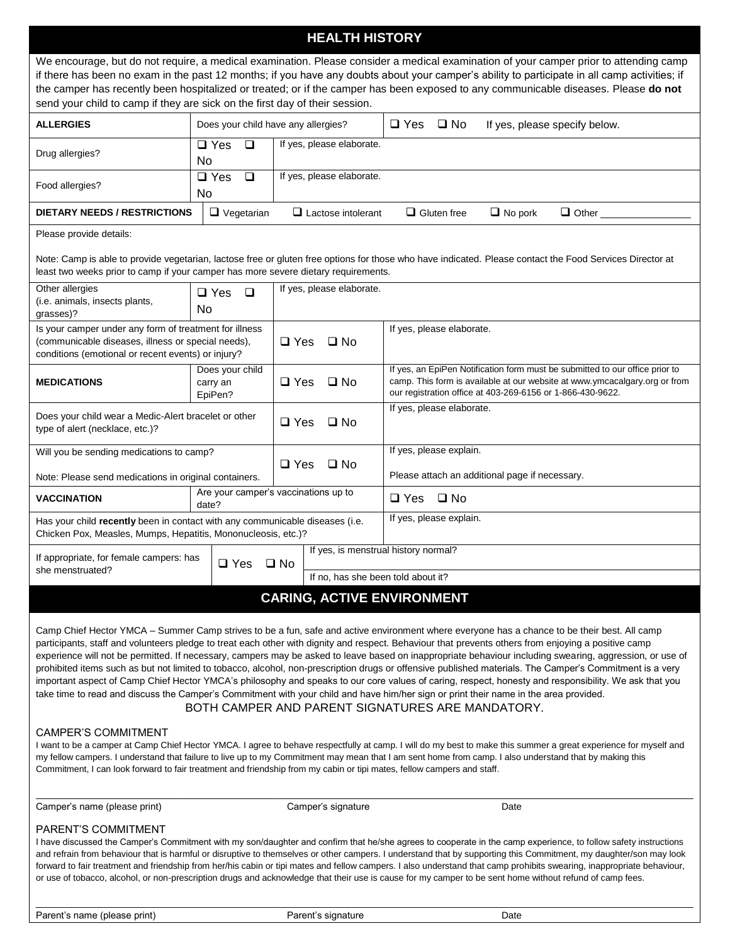## **HEALTH HISTORY**

| We encourage, but do not require, a medical examination. Please consider a medical examination of your camper prior to attending camp<br>if there has been no exam in the past 12 months; if you have any doubts about your camper's ability to participate in all camp activities; if<br>the camper has recently been hospitalized or treated; or if the camper has been exposed to any communicable diseases. Please do not                                                                                                                                                                                                                                                                                                                                                                                                                                                                                                                                                      |                                        |                                    |                                                                                                                                                                                                                          |  |  |
|------------------------------------------------------------------------------------------------------------------------------------------------------------------------------------------------------------------------------------------------------------------------------------------------------------------------------------------------------------------------------------------------------------------------------------------------------------------------------------------------------------------------------------------------------------------------------------------------------------------------------------------------------------------------------------------------------------------------------------------------------------------------------------------------------------------------------------------------------------------------------------------------------------------------------------------------------------------------------------|----------------------------------------|------------------------------------|--------------------------------------------------------------------------------------------------------------------------------------------------------------------------------------------------------------------------|--|--|
| send your child to camp if they are sick on the first day of their session.<br><b>ALLERGIES</b><br>$\square$ Yes<br>$\square$ No<br>Does your child have any allergies?<br>If yes, please specify below.                                                                                                                                                                                                                                                                                                                                                                                                                                                                                                                                                                                                                                                                                                                                                                           |                                        |                                    |                                                                                                                                                                                                                          |  |  |
| Drug allergies?                                                                                                                                                                                                                                                                                                                                                                                                                                                                                                                                                                                                                                                                                                                                                                                                                                                                                                                                                                    | $\Box$ Yes<br>□<br>No                  | If yes, please elaborate.          |                                                                                                                                                                                                                          |  |  |
| Food allergies?                                                                                                                                                                                                                                                                                                                                                                                                                                                                                                                                                                                                                                                                                                                                                                                                                                                                                                                                                                    | $\square$ Yes<br>$\Box$<br>No          | If yes, please elaborate.          |                                                                                                                                                                                                                          |  |  |
| <b>DIETARY NEEDS / RESTRICTIONS</b>                                                                                                                                                                                                                                                                                                                                                                                                                                                                                                                                                                                                                                                                                                                                                                                                                                                                                                                                                | $\Box$ Vegetarian                      | $\Box$ Lactose intolerant          | $\Box$ Gluten free<br>$\Box$ No pork<br>$\Box$ Other                                                                                                                                                                     |  |  |
| Please provide details:                                                                                                                                                                                                                                                                                                                                                                                                                                                                                                                                                                                                                                                                                                                                                                                                                                                                                                                                                            |                                        |                                    |                                                                                                                                                                                                                          |  |  |
| least two weeks prior to camp if your camper has more severe dietary requirements.                                                                                                                                                                                                                                                                                                                                                                                                                                                                                                                                                                                                                                                                                                                                                                                                                                                                                                 |                                        |                                    | Note: Camp is able to provide vegetarian, lactose free or gluten free options for those who have indicated. Please contact the Food Services Director at                                                                 |  |  |
| Other allergies<br>(i.e. animals, insects plants,<br>grasses)?                                                                                                                                                                                                                                                                                                                                                                                                                                                                                                                                                                                                                                                                                                                                                                                                                                                                                                                     | $\square$ Yes<br>$\Box$<br>No          | If yes, please elaborate.          |                                                                                                                                                                                                                          |  |  |
| Is your camper under any form of treatment for illness<br>(communicable diseases, illness or special needs),<br>conditions (emotional or recent events) or injury?                                                                                                                                                                                                                                                                                                                                                                                                                                                                                                                                                                                                                                                                                                                                                                                                                 |                                        | $\Box$ Yes<br>$\Box$ No            | If yes, please elaborate.                                                                                                                                                                                                |  |  |
| <b>MEDICATIONS</b>                                                                                                                                                                                                                                                                                                                                                                                                                                                                                                                                                                                                                                                                                                                                                                                                                                                                                                                                                                 | Does your child<br>carry an<br>EpiPen? | $\square$ Yes<br>$\Box$ No         | If yes, an EpiPen Notification form must be submitted to our office prior to<br>camp. This form is available at our website at www.ymcacalgary.org or from<br>our registration office at 403-269-6156 or 1-866-430-9622. |  |  |
| Does your child wear a Medic-Alert bracelet or other<br>type of alert (necklace, etc.)?                                                                                                                                                                                                                                                                                                                                                                                                                                                                                                                                                                                                                                                                                                                                                                                                                                                                                            |                                        | $\square$ Yes<br>$\Box$ No         | If yes, please elaborate.                                                                                                                                                                                                |  |  |
| Will you be sending medications to camp?                                                                                                                                                                                                                                                                                                                                                                                                                                                                                                                                                                                                                                                                                                                                                                                                                                                                                                                                           |                                        |                                    | If yes, please explain.                                                                                                                                                                                                  |  |  |
| $\square$ Yes<br>$\square$ No<br>Please attach an additional page if necessary.<br>Note: Please send medications in original containers.                                                                                                                                                                                                                                                                                                                                                                                                                                                                                                                                                                                                                                                                                                                                                                                                                                           |                                        |                                    |                                                                                                                                                                                                                          |  |  |
| Are your camper's vaccinations up to<br>$\square$ No<br><b>VACCINATION</b><br>$\Box$ Yes<br>date?                                                                                                                                                                                                                                                                                                                                                                                                                                                                                                                                                                                                                                                                                                                                                                                                                                                                                  |                                        |                                    |                                                                                                                                                                                                                          |  |  |
| Has your child recently been in contact with any communicable diseases (i.e.<br>Chicken Pox, Measles, Mumps, Hepatitis, Mononucleosis, etc.)?                                                                                                                                                                                                                                                                                                                                                                                                                                                                                                                                                                                                                                                                                                                                                                                                                                      |                                        |                                    | If yes, please explain.                                                                                                                                                                                                  |  |  |
| If appropriate, for female campers: has<br>$\Box$ Yes<br>she menstruated?                                                                                                                                                                                                                                                                                                                                                                                                                                                                                                                                                                                                                                                                                                                                                                                                                                                                                                          |                                        | $\square$ No                       | If yes, is menstrual history normal?                                                                                                                                                                                     |  |  |
|                                                                                                                                                                                                                                                                                                                                                                                                                                                                                                                                                                                                                                                                                                                                                                                                                                                                                                                                                                                    |                                        | If no, has she been told about it? |                                                                                                                                                                                                                          |  |  |
| <b>CARING, ACTIVE ENVIRONMENT</b>                                                                                                                                                                                                                                                                                                                                                                                                                                                                                                                                                                                                                                                                                                                                                                                                                                                                                                                                                  |                                        |                                    |                                                                                                                                                                                                                          |  |  |
| Camp Chief Hector YMCA - Summer Camp strives to be a fun, safe and active environment where everyone has a chance to be their best. All camp<br>participants, staff and volunteers pledge to treat each other with dignity and respect. Behaviour that prevents others from enjoying a positive camp<br>experience will not be permitted. If necessary, campers may be asked to leave based on inappropriate behaviour including swearing, aggression, or use of<br>prohibited items such as but not limited to tobacco, alcohol, non-prescription drugs or offensive published materials. The Camper's Commitment is a very<br>important aspect of Camp Chief Hector YMCA's philosophy and speaks to our core values of caring, respect, honesty and responsibility. We ask that you<br>take time to read and discuss the Camper's Commitment with your child and have him/her sign or print their name in the area provided.<br>BOTH CAMPER AND PARENT SIGNATURES ARE MANDATORY. |                                        |                                    |                                                                                                                                                                                                                          |  |  |
| <b>CAMPER'S COMMITMENT</b><br>I want to be a camper at Camp Chief Hector YMCA. I agree to behave respectfully at camp. I will do my best to make this summer a great experience for myself and<br>my fellow campers. I understand that failure to live up to my Commitment may mean that I am sent home from camp. I also understand that by making this<br>Commitment, I can look forward to fair treatment and friendship from my cabin or tipi mates, fellow campers and staff.                                                                                                                                                                                                                                                                                                                                                                                                                                                                                                 |                                        |                                    |                                                                                                                                                                                                                          |  |  |
| Camper's name (please print)<br>Camper's signature<br>Date                                                                                                                                                                                                                                                                                                                                                                                                                                                                                                                                                                                                                                                                                                                                                                                                                                                                                                                         |                                        |                                    |                                                                                                                                                                                                                          |  |  |
| PARENT'S COMMITMENT<br>I have discussed the Camper's Commitment with my son/daughter and confirm that he/she agrees to cooperate in the camp experience, to follow safety instructions<br>and refrain from behaviour that is harmful or disruptive to themselves or other campers. I understand that by supporting this Commitment, my daughter/son may look<br>forward to fair treatment and friendship from her/his cabin or tipi mates and fellow campers. I also understand that camp prohibits swearing, inappropriate behaviour,<br>or use of tobacco, alcohol, or non-prescription drugs and acknowledge that their use is cause for my camper to be sent home without refund of camp fees.                                                                                                                                                                                                                                                                                 |                                        |                                    |                                                                                                                                                                                                                          |  |  |

\_\_\_\_\_\_\_\_\_\_\_\_\_\_\_\_\_\_\_\_\_\_\_\_\_\_\_\_\_\_\_\_\_\_\_\_\_\_\_\_\_\_\_\_\_\_\_\_\_\_\_\_\_\_\_\_\_\_\_\_\_\_\_\_\_\_\_\_\_\_\_\_\_\_\_\_\_\_\_\_\_\_\_\_\_\_\_\_\_\_\_\_\_\_\_\_\_\_\_\_\_\_\_\_\_\_\_\_\_\_\_\_\_\_\_\_\_\_\_\_\_\_\_\_